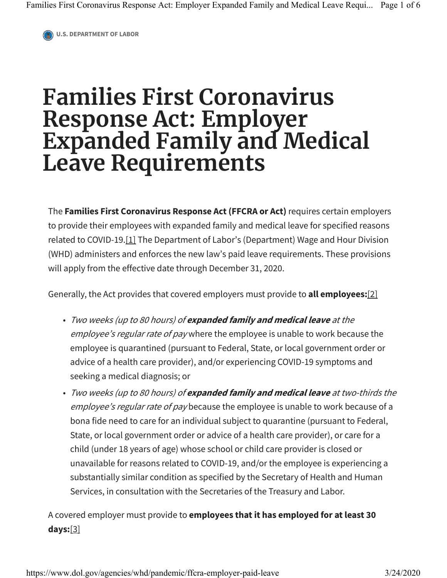**U.S. DEPARTMENT OF LABOR**

## **Families First Coronavirus Response Act: Employer Expanded Family and Medical Leave Requirements**

The **Families First Coronavirus Response Act (FFCRA or Act)** requires certain employers to provide their employees with expanded family and medical leave for specified reasons related to COVID-19.[1] The Department of Labor's (Department) Wage and Hour Division (WHD) administers and enforces the new law's paid leave requirements. These provisions will apply from the effective date through December 31, 2020.

Generally, the Act provides that covered employers must provide to **all employees:**[2]

- Two weeks (up to 80 hours) of **expanded family and medical leave** at the employee's regular rate of pay where the employee is unable to work because the employee is quarantined (pursuant to Federal, State, or local government order or advice of a health care provider), and/or experiencing COVID-19 symptoms and seeking a medical diagnosis; or
- Two weeks (up to 80 hours) of **expanded family and medical leave** at two-thirds the employee's regular rate of pay because the employee is unable to work because of a bona fide need to care for an individual subject to quarantine (pursuant to Federal, State, or local government order or advice of a health care provider), or care for a child (under 18 years of age) whose school or child care provider is closed or unavailable for reasons related to COVID-19, and/or the employee is experiencing a substantially similar condition as specified by the Secretary of Health and Human Services, in consultation with the Secretaries of the Treasury and Labor.

A covered employer must provide to **employees that it has employed for at least 30 days:**[3]

https://www.dol.gov/agencies/whd/pandemic/ffcra-employer-paid-leave 3/24/2020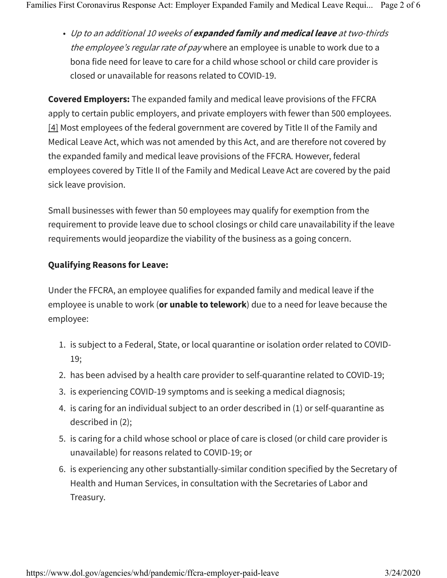• Up to an additional 10 weeks of **expanded family and medical leave** at two-thirds the employee's regular rate of pay where an employee is unable to work due to a bona fide need for leave to care for a child whose school or child care provider is closed or unavailable for reasons related to COVID-19.

**Covered Employers:** The expanded family and medical leave provisions of the FFCRA apply to certain public employers, and private employers with fewer than 500 employees. [4] Most employees of the federal government are covered by Title II of the Family and Medical Leave Act, which was not amended by this Act, and are therefore not covered by the expanded family and medical leave provisions of the FFCRA. However, federal employees covered by Title II of the Family and Medical Leave Act are covered by the paid sick leave provision.

Small businesses with fewer than 50 employees may qualify for exemption from the requirement to provide leave due to school closings or child care unavailability if the leave requirements would jeopardize the viability of the business as a going concern.

## **Qualifying Reasons for Leave:**

Under the FFCRA, an employee qualifies for expanded family and medical leave if the employee is unable to work (**or unable to telework**) due to a need for leave because the employee:

- 1. is subject to a Federal, State, or local quarantine or isolation order related to COVID-19;
- 2. has been advised by a health care provider to self-quarantine related to COVID-19;
- 3. is experiencing COVID-19 symptoms and is seeking a medical diagnosis;
- 4. is caring for an individual subject to an order described in (1) or self-quarantine as described in (2);
- 5. is caring for a child whose school or place of care is closed (or child care provider is unavailable) for reasons related to COVID-19; or
- 6. is experiencing any other substantially-similar condition specified by the Secretary of Health and Human Services, in consultation with the Secretaries of Labor and Treasury.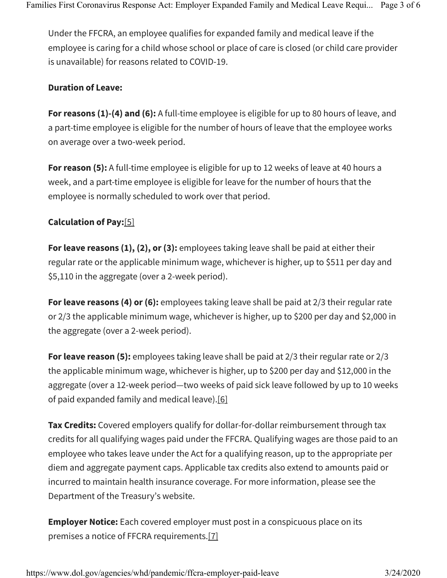Under the FFCRA, an employee qualifies for expanded family and medical leave if the employee is caring for a child whose school or place of care is closed (or child care provider is unavailable) for reasons related to COVID-19.

## **Duration of Leave:**

**For reasons (1)-(4) and (6):** A full-time employee is eligible for up to 80 hours of leave, and a part-time employee is eligible for the number of hours of leave that the employee works on average over a two-week period.

**For reason (5):** A full-time employee is eligible for up to 12 weeks of leave at 40 hours a week, and a part-time employee is eligible for leave for the number of hours that the employee is normally scheduled to work over that period.

## **Calculation of Pay:**[5]

**For leave reasons (1), (2), or (3):** employees taking leave shall be paid at either their regular rate or the applicable minimum wage, whichever is higher, up to \$511 per day and \$5,110 in the aggregate (over a 2-week period).

**For leave reasons (4) or (6):** employees taking leave shall be paid at 2/3 their regular rate or 2/3 the applicable minimum wage, whichever is higher, up to \$200 per day and \$2,000 in the aggregate (over a 2-week period).

**For leave reason (5):** employees taking leave shall be paid at 2/3 their regular rate or 2/3 the applicable minimum wage, whichever is higher, up to \$200 per day and \$12,000 in the aggregate (over a 12-week period—two weeks of paid sick leave followed by up to 10 weeks of paid expanded family and medical leave).[6]

**Tax Credits:** Covered employers qualify for dollar-for-dollar reimbursement through tax credits for all qualifying wages paid under the FFCRA. Qualifying wages are those paid to an employee who takes leave under the Act for a qualifying reason, up to the appropriate per diem and aggregate payment caps. Applicable tax credits also extend to amounts paid or incurred to maintain health insurance coverage. For more information, please see the Department of the Treasury's website.

**Employer Notice:** Each covered employer must post in a conspicuous place on its premises a notice of FFCRA requirements.[7]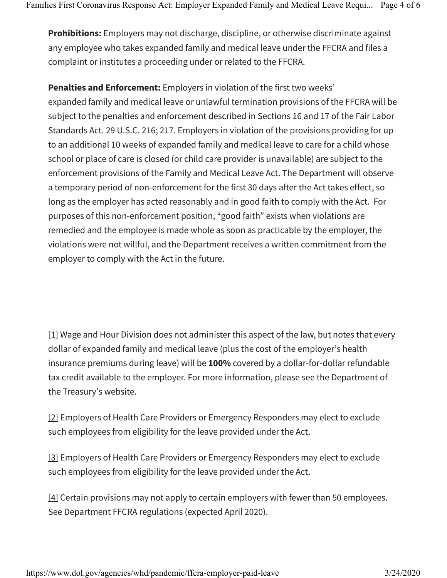**Prohibitions:** Employers may not discharge, discipline, or otherwise discriminate against any employee who takes expanded family and medical leave under the FFCRA and files a complaint or institutes a proceeding under or related to the FFCRA.

**Penalties and Enforcement:** Employers in violation of the first two weeks' expanded family and medical leave or unlawful termination provisions of the FFCRA will be subject to the penalties and enforcement described in Sections 16 and 17 of the Fair Labor Standards Act. 29 U.S.C. 216; 217. Employers in violation of the provisions providing for up to an additional 10 weeks of expanded family and medical leave to care for a child whose school or place of care is closed (or child care provider is unavailable) are subject to the enforcement provisions of the Family and Medical Leave Act. The Department will observe a temporary period of non-enforcement for the first 30 days after the Act takes effect, so long as the employer has acted reasonably and in good faith to comply with the Act. For purposes of this non-enforcement position, "good faith" exists when violations are remedied and the employee is made whole as soon as practicable by the employer, the violations were not willful, and the Department receives a written commitment from the employer to comply with the Act in the future.

 $[1]$  Wage and Hour Division does not administer this aspect of the law, but notes that every dollar of expanded family and medical leave (plus the cost of the employer's health insurance premiums during leave) will be **100%** covered by a dollar-for-dollar refundable tax credit available to the employer. For more information, please see the Department of the Treasury's website.

[2] Employers of Health Care Providers or Emergency Responders may elect to exclude such employees from eligibility for the leave provided under the Act.

[3] Employers of Health Care Providers or Emergency Responders may elect to exclude such employees from eligibility for the leave provided under the Act.

 $[4]$  Certain provisions may not apply to certain employers with fewer than 50 employees. See Department FFCRA regulations (expected April 2020).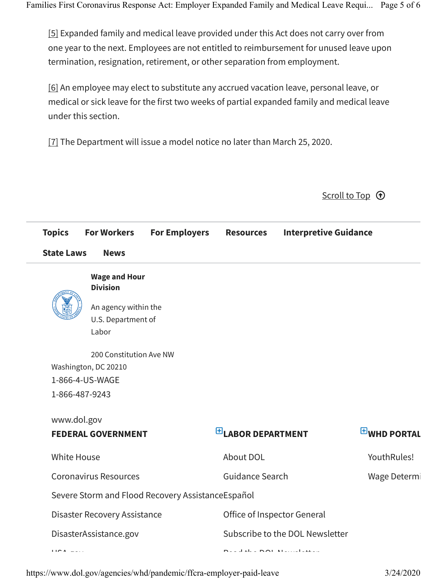[5] Expanded family and medical leave provided under this Act does not carry over from one year to the next. Employees are not entitled to reimbursement for unused leave upon termination, resignation, retirement, or other separation from employment.

[6] An employee may elect to substitute any accrued vacation leave, personal leave, or medical or sick leave for the first two weeks of partial expanded family and medical leave under this section.

[7] The Department will issue a model notice no later than March 25, 2020.

| <b>Topics</b>                    | <b>For Workers</b>      | <b>For Employers</b>                              | <b>Resources</b>                | <b>Interpretive Guidance</b> |                    |
|----------------------------------|-------------------------|---------------------------------------------------|---------------------------------|------------------------------|--------------------|
| <b>State Laws</b><br><b>News</b> |                         |                                                   |                                 |                              |                    |
|                                  | <b>Wage and Hour</b>    |                                                   |                                 |                              |                    |
|                                  | <b>Division</b>         |                                                   |                                 |                              |                    |
|                                  | An agency within the    |                                                   |                                 |                              |                    |
|                                  | U.S. Department of      |                                                   |                                 |                              |                    |
|                                  | Labor                   |                                                   |                                 |                              |                    |
|                                  | 200 Constitution Ave NW |                                                   |                                 |                              |                    |
|                                  | Washington, DC 20210    |                                                   |                                 |                              |                    |
|                                  | 1-866-4-US-WAGE         |                                                   |                                 |                              |                    |
| 1-866-487-9243                   |                         |                                                   |                                 |                              |                    |
| www.dol.gov                      |                         |                                                   |                                 |                              |                    |
| <b>FEDERAL GOVERNMENT</b>        |                         |                                                   | $E$ LABOR DEPARTMENT            |                              | <b>EWHD PORTAL</b> |
| <b>White House</b>               |                         | About DOL                                         |                                 | YouthRules!                  |                    |
| <b>Coronavirus Resources</b>     |                         | <b>Guidance Search</b>                            |                                 | Wage Determi                 |                    |
|                                  |                         | Severe Storm and Flood Recovery AssistanceEspañol |                                 |                              |                    |
| Disaster Recovery Assistance     |                         |                                                   | Office of Inspector General     |                              |                    |
| DisasterAssistance.gov           |                         |                                                   | Subscribe to the DOL Newsletter |                              |                    |
| <b>I</b> IC $A = -1$             |                         |                                                   | <b>Deadah a NAI Macceleures</b> |                              |                    |
|                                  |                         |                                                   |                                 |                              |                    |

https://www.dol.gov/agencies/whd/pandemic/ffcra-employer-paid-leave 3/24/2020

Scroll to Top  $\odot$